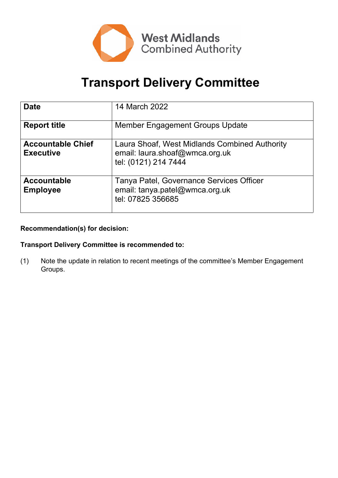

# **Transport Delivery Committee**

| <b>Date</b>                                  | 14 March 2022                                                                                           |
|----------------------------------------------|---------------------------------------------------------------------------------------------------------|
| <b>Report title</b>                          | <b>Member Engagement Groups Update</b>                                                                  |
| <b>Accountable Chief</b><br><b>Executive</b> | Laura Shoaf, West Midlands Combined Authority<br>email: laura.shoaf@wmca.org.uk<br>tel: (0121) 214 7444 |
| <b>Accountable</b><br><b>Employee</b>        | Tanya Patel, Governance Services Officer<br>email: tanya.patel@wmca.org.uk<br>tel: 07825 356685         |

# **Recommendation(s) for decision:**

# **Transport Delivery Committee is recommended to:**

(1) Note the update in relation to recent meetings of the committee's Member Engagement Groups.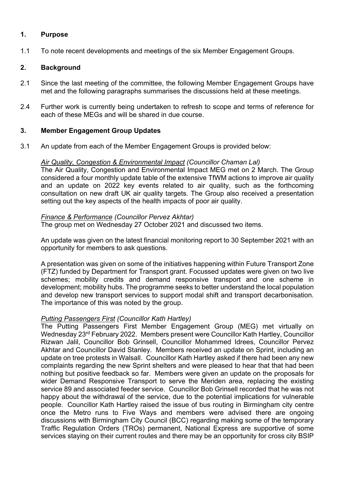#### **1. Purpose**

1.1 To note recent developments and meetings of the six Member Engagement Groups.

#### **2. Background**

- 2.1 Since the last meeting of the committee, the following Member Engagement Groups have met and the following paragraphs summarises the discussions held at these meetings.
- 2.4 Further work is currently being undertaken to refresh to scope and terms of reference for each of these MEGs and will be shared in due course.

#### **3. Member Engagement Group Updates**

3.1 An update from each of the Member Engagement Groups is provided below:

#### *Air Quality, Congestion & Environmental Impact (Councillor Chaman Lal)*

The Air Quality, Congestion and Environmental Impact MEG met on 2 March. The Group considered a four monthly update table of the extensive TfWM actions to improve air quality and an update on 2022 key events related to air quality, such as the forthcoming consultation on new draft UK air quality targets. The Group also received a presentation setting out the key aspects of the health impacts of poor air quality.

#### *Finance & Performance (Councillor Pervez Akhtar)*

The group met on Wednesday 27 October 2021 and discussed two items.

An update was given on the latest financial monitoring report to 30 September 2021 with an opportunity for members to ask questions.

A presentation was given on some of the initiatives happening within Future Transport Zone (FTZ) funded by Department for Transport grant. Focussed updates were given on two live schemes; mobility credits and demand responsive transport and one scheme in development; mobility hubs. The programme seeks to better understand the local population and develop new transport services to support modal shift and transport decarbonisation. The importance of this was noted by the group.

#### *Putting Passengers First (Councillor Kath Hartley)*

The Putting Passengers First Member Engagement Group (MEG) met virtually on Wednesday 23rd February 2022. Members present were Councillor Kath Hartley, Councillor Rizwan Jalil, Councillor Bob Grinsell, Councillor Mohammed Idrees, Councillor Pervez Akhtar and Councillor David Stanley. Members received an update on Sprint, including an update on tree protests in Walsall. Councillor Kath Hartley asked if there had been any new complaints regarding the new Sprint shelters and were pleased to hear that that had been nothing but positive feedback so far. Members were given an update on the proposals for wider Demand Responsive Transport to serve the Meriden area, replacing the existing service 89 and associated feeder service. Councillor Bob Grinsell recorded that he was not happy about the withdrawal of the service, due to the potential implications for vulnerable people. Councillor Kath Hartley raised the issue of bus routing in Birmingham city centre once the Metro runs to Five Ways and members were advised there are ongoing discussions with Birmingham City Council (BCC) regarding making some of the temporary Traffic Regulation Orders (TROs) permanent, National Express are supportive of some services staying on their current routes and there may be an opportunity for cross city BSIP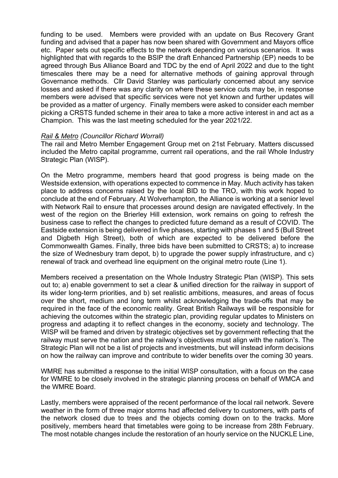funding to be used. Members were provided with an update on Bus Recovery Grant funding and advised that a paper has now been shared with Government and Mayors office etc. Paper sets out specific effects to the network depending on various scenarios. It was highlighted that with regards to the BSIP the draft Enhanced Partnership (EP) needs to be agreed through Bus Alliance Board and TDC by the end of April 2022 and due to the tight timescales there may be a need for alternative methods of gaining approval through Governance methods. Cllr David Stanley was particularly concerned about any service losses and asked if there was any clarity on where these service cuts may be, in response members were advised that specific services were not yet known and further updates will be provided as a matter of urgency. Finally members were asked to consider each member picking a CRSTS funded scheme in their area to take a more active interest in and act as a Champion. This was the last meeting scheduled for the year 2021/22.

#### *Rail & Metro (Councillor Richard Worrall)*

The rail and Metro Member Engagement Group met on 21st February. Matters discussed included the Metro capital programme, current rail operations, and the rail Whole Industry Strategic Plan (WISP).

On the Metro programme, members heard that good progress is being made on the Westside extension, with operations expected to commence in May. Much activity has taken place to address concerns raised by the local BID to the TRO, with this work hoped to conclude at the end of February. At Wolverhampton, the Alliance is working at a senior level with Network Rail to ensure that processes around design are navigated effectively. In the west of the region on the Brierley Hill extension, work remains on going to refresh the business case to reflect the changes to predicted future demand as a result of COVID. The Eastside extension is being delivered in five phases, starting with phases 1 and 5 (Bull Street and Digbeth High Street), both of which are expected to be delivered before the Commonwealth Games. Finally, three bids have been submitted to CRSTS; a) to increase the size of Wednesbury tram depot, b) to upgrade the power supply infrastructure, and c) renewal of track and overhead line equipment on the original metro route (Line 1).

Members received a presentation on the Whole Industry Strategic Plan (WISP). This sets out to; a) enable government to set a clear & unified direction for the railway in support of its wider long-term priorities, and b) set realistic ambitions, measures, and areas of focus over the short, medium and long term whilst acknowledging the trade-offs that may be required in the face of the economic reality. Great British Railways will be responsible for achieving the outcomes within the strategic plan, providing regular updates to Ministers on progress and adapting it to reflect changes in the economy, society and technology. The WISP will be framed and driven by strategic objectives set by government reflecting that the railway must serve the nation and the railway's objectives must align with the nation's. The Strategic Plan will not be a list of projects and investments, but will instead inform decisions on how the railway can improve and contribute to wider benefits over the coming 30 years.

WMRE has submitted a response to the initial WISP consultation, with a focus on the case for WMRE to be closely involved in the strategic planning process on behalf of WMCA and the WMRE Board.

Lastly, members were appraised of the recent performance of the local rail network. Severe weather in the form of three major storms had affected delivery to customers, with parts of the network closed due to trees and the objects coming down on to the tracks. More positively, members heard that timetables were going to be increase from 28th February. The most notable changes include the restoration of an hourly service on the NUCKLE Line,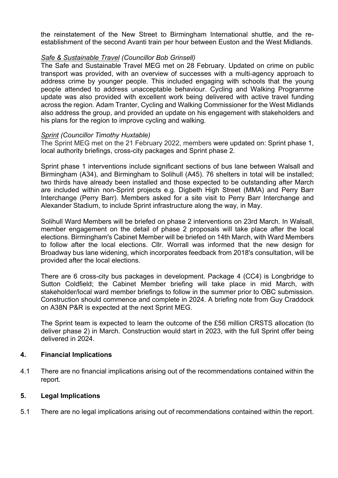the reinstatement of the New Street to Birmingham International shuttle, and the reestablishment of the second Avanti train per hour between Euston and the West Midlands.

#### *Safe & Sustainable Travel (Councillor Bob Grinsell)*

The Safe and Sustainable Travel MEG met on 28 February. Updated on crime on public transport was provided, with an overview of successes with a multi-agency approach to address crime by younger people. This included engaging with schools that the young people attended to address unacceptable behaviour. Cycling and Walking Programme update was also provided with excellent work being delivered with active travel funding across the region. Adam Tranter, Cycling and Walking Commissioner for the West Midlands also address the group, and provided an update on his engagement with stakeholders and his plans for the region to improve cycling and walking.

#### *Sprint (Councillor Timothy Huxtable)*

The Sprint MEG met on the 21 February 2022, members were updated on: Sprint phase 1, local authority briefings, cross-city packages and Sprint phase 2.

Sprint phase 1 interventions include significant sections of bus lane between Walsall and Birmingham (A34), and Birmingham to Solihull (A45). 76 shelters in total will be installed; two thirds have already been installed and those expected to be outstanding after March are included within non-Sprint projects e.g. Digbeth High Street (MMA) and Perry Barr Interchange (Perry Barr). Members asked for a site visit to Perry Barr Interchange and Alexander Stadium, to include Sprint infrastructure along the way, in May.

Solihull Ward Members will be briefed on phase 2 interventions on 23rd March. In Walsall, member engagement on the detail of phase 2 proposals will take place after the local elections. Birmingham's Cabinet Member will be briefed on 14th March, with Ward Members to follow after the local elections. Cllr. Worrall was informed that the new design for Broadway bus lane widening, which incorporates feedback from 2018's consultation, will be provided after the local elections.

There are 6 cross-city bus packages in development. Package 4 (CC4) is Longbridge to Sutton Coldfield; the Cabinet Member briefing will take place in mid March, with stakeholder/local ward member briefings to follow in the summer prior to OBC submission. Construction should commence and complete in 2024. A briefing note from Guy Craddock on A38N P&R is expected at the next Sprint MEG.

The Sprint team is expected to learn the outcome of the £56 million CRSTS allocation (to deliver phase 2) in March. Construction would start in 2023, with the full Sprint offer being delivered in 2024.

#### **4. Financial Implications**

4.1 There are no financial implications arising out of the recommendations contained within the report.

#### **5. Legal Implications**

5.1 There are no legal implications arising out of recommendations contained within the report.